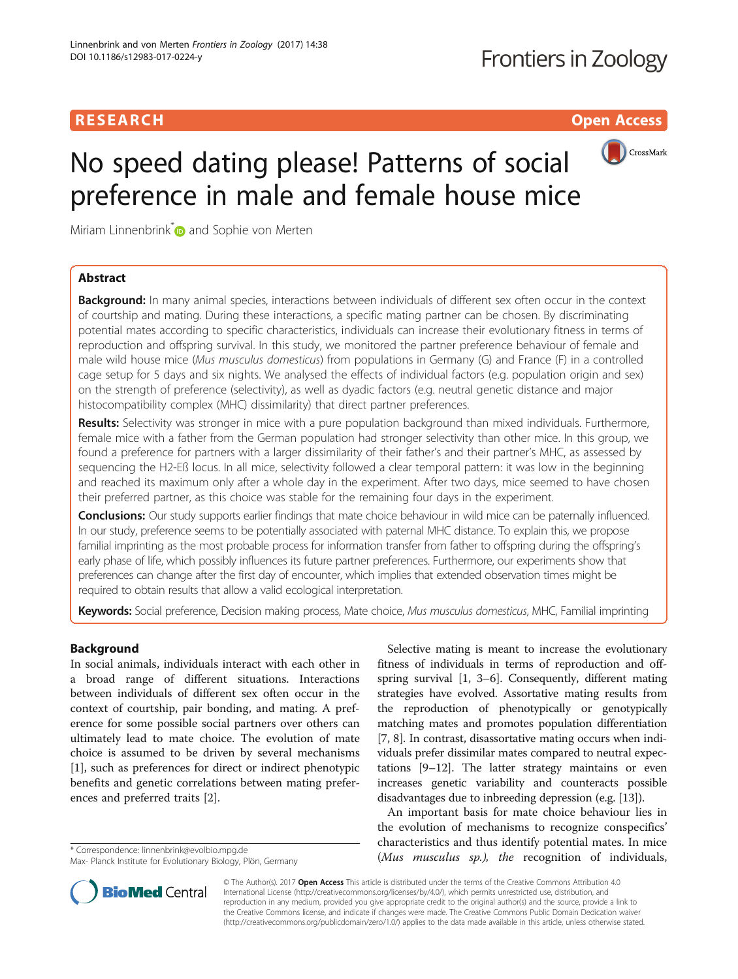

# No speed dating please! Patterns of social preference in male and female house mice

Miriam Linnenbrink $\stackrel{*}{\bullet}$  and Sophie von Merten

## Abstract

Background: In many animal species, interactions between individuals of different sex often occur in the context of courtship and mating. During these interactions, a specific mating partner can be chosen. By discriminating potential mates according to specific characteristics, individuals can increase their evolutionary fitness in terms of reproduction and offspring survival. In this study, we monitored the partner preference behaviour of female and male wild house mice (Mus musculus domesticus) from populations in Germany (G) and France (F) in a controlled cage setup for 5 days and six nights. We analysed the effects of individual factors (e.g. population origin and sex) on the strength of preference (selectivity), as well as dyadic factors (e.g. neutral genetic distance and major histocompatibility complex (MHC) dissimilarity) that direct partner preferences.

Results: Selectivity was stronger in mice with a pure population background than mixed individuals. Furthermore, female mice with a father from the German population had stronger selectivity than other mice. In this group, we found a preference for partners with a larger dissimilarity of their father's and their partner's MHC, as assessed by sequencing the H2-Eß locus. In all mice, selectivity followed a clear temporal pattern: it was low in the beginning and reached its maximum only after a whole day in the experiment. After two days, mice seemed to have chosen their preferred partner, as this choice was stable for the remaining four days in the experiment.

**Conclusions:** Our study supports earlier findings that mate choice behaviour in wild mice can be paternally influenced. In our study, preference seems to be potentially associated with paternal MHC distance. To explain this, we propose familial imprinting as the most probable process for information transfer from father to offspring during the offspring's early phase of life, which possibly influences its future partner preferences. Furthermore, our experiments show that preferences can change after the first day of encounter, which implies that extended observation times might be required to obtain results that allow a valid ecological interpretation.

Keywords: Social preference, Decision making process, Mate choice, Mus musculus domesticus, MHC, Familial imprinting

## Background

In social animals, individuals interact with each other in a broad range of different situations. Interactions between individuals of different sex often occur in the context of courtship, pair bonding, and mating. A preference for some possible social partners over others can ultimately lead to mate choice. The evolution of mate choice is assumed to be driven by several mechanisms [[1\]](#page-11-0), such as preferences for direct or indirect phenotypic benefits and genetic correlations between mating preferences and preferred traits [\[2](#page-11-0)].

Max- Planck Institute for Evolutionary Biology, Plön, Germany

Selective mating is meant to increase the evolutionary fitness of individuals in terms of reproduction and offspring survival [\[1](#page-11-0), [3](#page-11-0)–[6](#page-11-0)]. Consequently, different mating strategies have evolved. Assortative mating results from the reproduction of phenotypically or genotypically matching mates and promotes population differentiation [[7, 8](#page-11-0)]. In contrast, disassortative mating occurs when individuals prefer dissimilar mates compared to neutral expectations [\[9](#page-11-0)–[12](#page-11-0)]. The latter strategy maintains or even increases genetic variability and counteracts possible disadvantages due to inbreeding depression (e.g. [[13](#page-11-0)]).

An important basis for mate choice behaviour lies in the evolution of mechanisms to recognize conspecifics' characteristics and thus identify potential mates. In mice \* Correspondence: [linnenbrink@evolbio.mpg.de](mailto:linnenbrink@evolbio.mpg.de)<br>Max- Planck Institute for Evolutionary Biology Plön Germany (Mus. musculus sp.), the recognition of individuals,



© The Author(s). 2017 **Open Access** This article is distributed under the terms of the Creative Commons Attribution 4.0 International License [\(http://creativecommons.org/licenses/by/4.0/](http://creativecommons.org/licenses/by/4.0/)), which permits unrestricted use, distribution, and reproduction in any medium, provided you give appropriate credit to the original author(s) and the source, provide a link to the Creative Commons license, and indicate if changes were made. The Creative Commons Public Domain Dedication waiver [\(http://creativecommons.org/publicdomain/zero/1.0/](http://creativecommons.org/publicdomain/zero/1.0/)) applies to the data made available in this article, unless otherwise stated.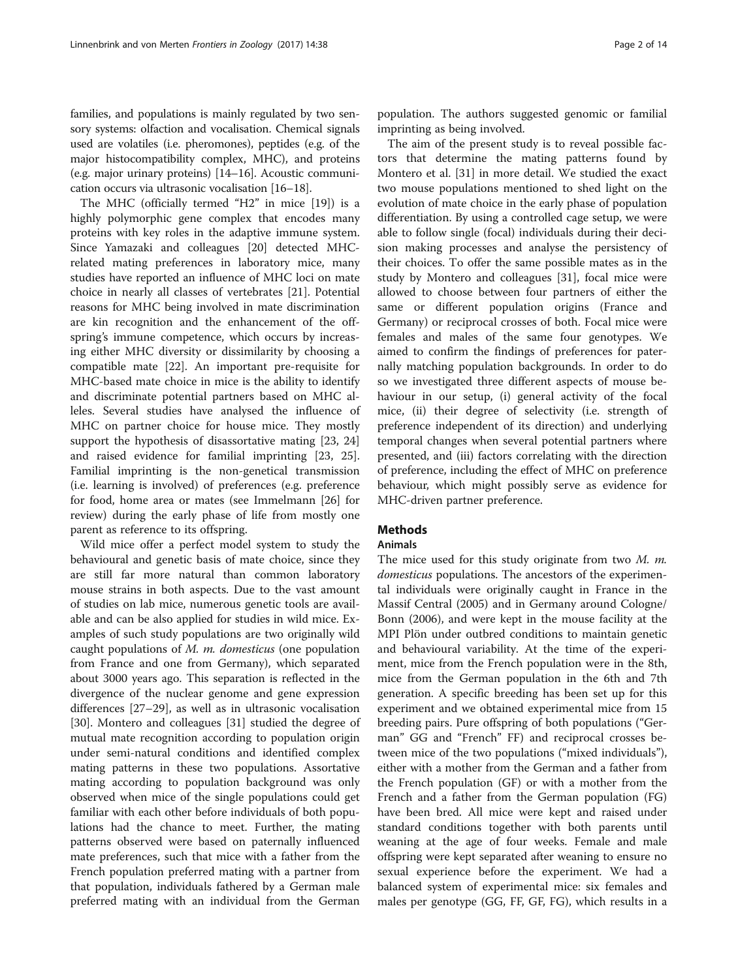<span id="page-1-0"></span>families, and populations is mainly regulated by two sensory systems: olfaction and vocalisation. Chemical signals used are volatiles (i.e. pheromones), peptides (e.g. of the major histocompatibility complex, MHC), and proteins (e.g. major urinary proteins) [[14](#page-11-0)–[16\]](#page-11-0). Acoustic communication occurs via ultrasonic vocalisation [\[16](#page-11-0)–[18\]](#page-11-0).

The MHC (officially termed "H2" in mice [\[19\]](#page-11-0)) is a highly polymorphic gene complex that encodes many proteins with key roles in the adaptive immune system. Since Yamazaki and colleagues [[20\]](#page-12-0) detected MHCrelated mating preferences in laboratory mice, many studies have reported an influence of MHC loci on mate choice in nearly all classes of vertebrates [\[21](#page-12-0)]. Potential reasons for MHC being involved in mate discrimination are kin recognition and the enhancement of the offspring's immune competence, which occurs by increasing either MHC diversity or dissimilarity by choosing a compatible mate [\[22\]](#page-12-0). An important pre-requisite for MHC-based mate choice in mice is the ability to identify and discriminate potential partners based on MHC alleles. Several studies have analysed the influence of MHC on partner choice for house mice. They mostly support the hypothesis of disassortative mating [[23, 24](#page-12-0)] and raised evidence for familial imprinting [\[23, 25](#page-12-0)]. Familial imprinting is the non-genetical transmission (i.e. learning is involved) of preferences (e.g. preference for food, home area or mates (see Immelmann [[26\]](#page-12-0) for review) during the early phase of life from mostly one parent as reference to its offspring.

Wild mice offer a perfect model system to study the behavioural and genetic basis of mate choice, since they are still far more natural than common laboratory mouse strains in both aspects. Due to the vast amount of studies on lab mice, numerous genetic tools are available and can be also applied for studies in wild mice. Examples of such study populations are two originally wild caught populations of M. m. domesticus (one population from France and one from Germany), which separated about 3000 years ago. This separation is reflected in the divergence of the nuclear genome and gene expression differences [[27](#page-12-0)–[29](#page-12-0)], as well as in ultrasonic vocalisation [[30\]](#page-12-0). Montero and colleagues [[31](#page-12-0)] studied the degree of mutual mate recognition according to population origin under semi-natural conditions and identified complex mating patterns in these two populations. Assortative mating according to population background was only observed when mice of the single populations could get familiar with each other before individuals of both populations had the chance to meet. Further, the mating patterns observed were based on paternally influenced mate preferences, such that mice with a father from the French population preferred mating with a partner from that population, individuals fathered by a German male preferred mating with an individual from the German

population. The authors suggested genomic or familial imprinting as being involved.

The aim of the present study is to reveal possible factors that determine the mating patterns found by Montero et al. [[31](#page-12-0)] in more detail. We studied the exact two mouse populations mentioned to shed light on the evolution of mate choice in the early phase of population differentiation. By using a controlled cage setup, we were able to follow single (focal) individuals during their decision making processes and analyse the persistency of their choices. To offer the same possible mates as in the study by Montero and colleagues [[31\]](#page-12-0), focal mice were allowed to choose between four partners of either the same or different population origins (France and Germany) or reciprocal crosses of both. Focal mice were females and males of the same four genotypes. We aimed to confirm the findings of preferences for paternally matching population backgrounds. In order to do so we investigated three different aspects of mouse behaviour in our setup, (i) general activity of the focal mice, (ii) their degree of selectivity (i.e. strength of preference independent of its direction) and underlying temporal changes when several potential partners where presented, and (iii) factors correlating with the direction of preference, including the effect of MHC on preference behaviour, which might possibly serve as evidence for MHC-driven partner preference.

## **Methods**

## Animals

The mice used for this study originate from two  $M$ .  $m$ . domesticus populations. The ancestors of the experimental individuals were originally caught in France in the Massif Central (2005) and in Germany around Cologne/ Bonn (2006), and were kept in the mouse facility at the MPI Plön under outbred conditions to maintain genetic and behavioural variability. At the time of the experiment, mice from the French population were in the 8th, mice from the German population in the 6th and 7th generation. A specific breeding has been set up for this experiment and we obtained experimental mice from 15 breeding pairs. Pure offspring of both populations ("German" GG and "French" FF) and reciprocal crosses between mice of the two populations ("mixed individuals"), either with a mother from the German and a father from the French population (GF) or with a mother from the French and a father from the German population (FG) have been bred. All mice were kept and raised under standard conditions together with both parents until weaning at the age of four weeks. Female and male offspring were kept separated after weaning to ensure no sexual experience before the experiment. We had a balanced system of experimental mice: six females and males per genotype (GG, FF, GF, FG), which results in a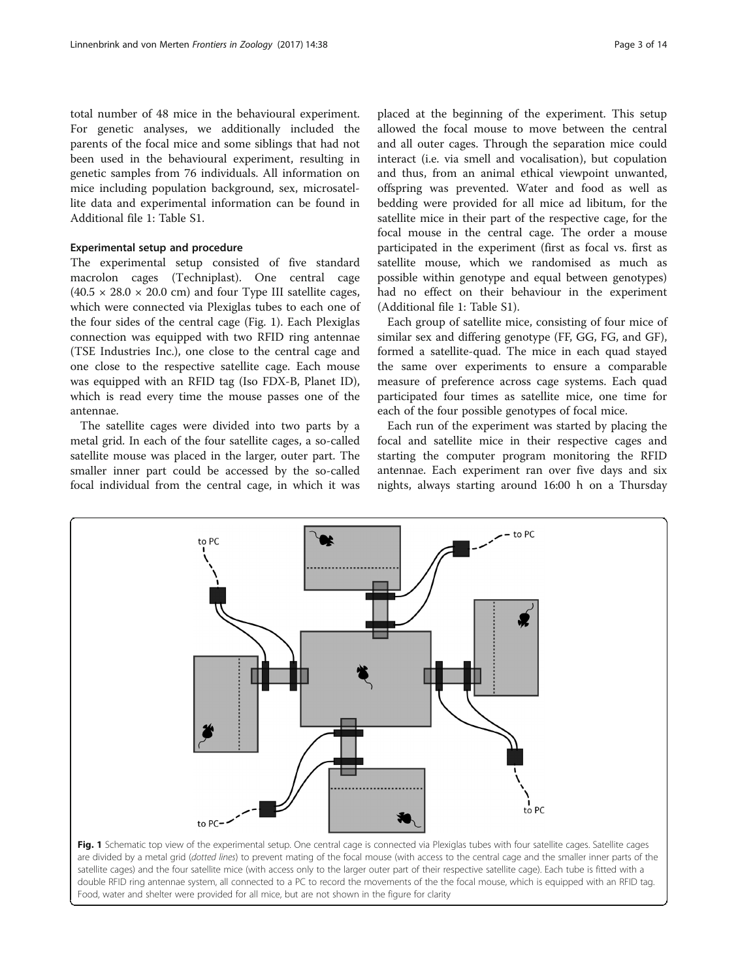<span id="page-2-0"></span>total number of 48 mice in the behavioural experiment. For genetic analyses, we additionally included the parents of the focal mice and some siblings that had not been used in the behavioural experiment, resulting in genetic samples from 76 individuals. All information on mice including population background, sex, microsatellite data and experimental information can be found in Additional file [1:](#page-10-0) Table S1.

## Experimental setup and procedure

The experimental setup consisted of five standard macrolon cages (Techniplast). One central cage  $(40.5 \times 28.0 \times 20.0 \text{ cm})$  and four Type III satellite cages, which were connected via Plexiglas tubes to each one of the four sides of the central cage (Fig. 1). Each Plexiglas connection was equipped with two RFID ring antennae (TSE Industries Inc.), one close to the central cage and one close to the respective satellite cage. Each mouse was equipped with an RFID tag (Iso FDX-B, Planet ID), which is read every time the mouse passes one of the antennae.

The satellite cages were divided into two parts by a metal grid. In each of the four satellite cages, a so-called satellite mouse was placed in the larger, outer part. The smaller inner part could be accessed by the so-called focal individual from the central cage, in which it was

placed at the beginning of the experiment. This setup allowed the focal mouse to move between the central and all outer cages. Through the separation mice could interact (i.e. via smell and vocalisation), but copulation and thus, from an animal ethical viewpoint unwanted, offspring was prevented. Water and food as well as bedding were provided for all mice ad libitum, for the satellite mice in their part of the respective cage, for the focal mouse in the central cage. The order a mouse participated in the experiment (first as focal vs. first as satellite mouse, which we randomised as much as possible within genotype and equal between genotypes) had no effect on their behaviour in the experiment (Additional file [1](#page-10-0): Table S1).

Each group of satellite mice, consisting of four mice of similar sex and differing genotype (FF, GG, FG, and GF), formed a satellite-quad. The mice in each quad stayed the same over experiments to ensure a comparable measure of preference across cage systems. Each quad participated four times as satellite mice, one time for each of the four possible genotypes of focal mice.

Each run of the experiment was started by placing the focal and satellite mice in their respective cages and starting the computer program monitoring the RFID antennae. Each experiment ran over five days and six nights, always starting around 16:00 h on a Thursday

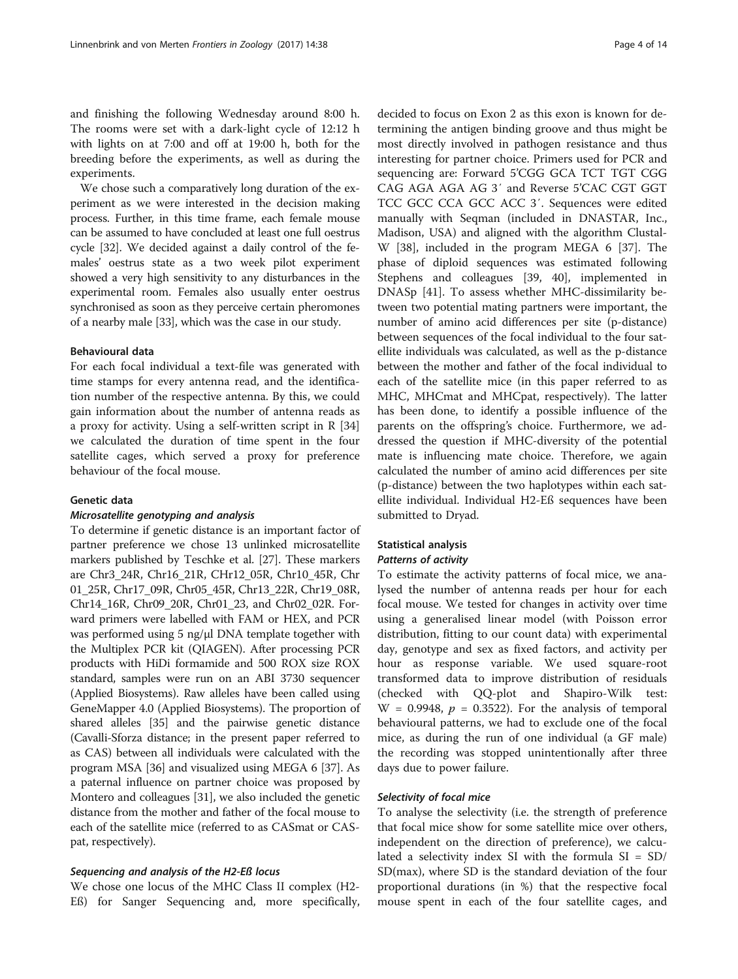<span id="page-3-0"></span>and finishing the following Wednesday around 8:00 h. The rooms were set with a dark-light cycle of 12:12 h with lights on at 7:00 and off at 19:00 h, both for the breeding before the experiments, as well as during the experiments.

We chose such a comparatively long duration of the experiment as we were interested in the decision making process. Further, in this time frame, each female mouse can be assumed to have concluded at least one full oestrus cycle [[32](#page-12-0)]. We decided against a daily control of the females' oestrus state as a two week pilot experiment showed a very high sensitivity to any disturbances in the experimental room. Females also usually enter oestrus synchronised as soon as they perceive certain pheromones of a nearby male [[33](#page-12-0)], which was the case in our study.

## Behavioural data

For each focal individual a text-file was generated with time stamps for every antenna read, and the identification number of the respective antenna. By this, we could gain information about the number of antenna reads as a proxy for activity. Using a self-written script in R [[34](#page-12-0)] we calculated the duration of time spent in the four satellite cages, which served a proxy for preference behaviour of the focal mouse.

## Genetic data

#### Microsatellite genotyping and analysis

To determine if genetic distance is an important factor of partner preference we chose 13 unlinked microsatellite markers published by Teschke et al. [\[27\]](#page-12-0). These markers are Chr3\_24R, Chr16\_21R, CHr12\_05R, Chr10\_45R, Chr 01\_25R, Chr17\_09R, Chr05\_45R, Chr13\_22R, Chr19\_08R, Chr14\_16R, Chr09\_20R, Chr01\_23, and Chr02\_02R. Forward primers were labelled with FAM or HEX, and PCR was performed using 5 ng/μl DNA template together with the Multiplex PCR kit (QIAGEN). After processing PCR products with HiDi formamide and 500 ROX size ROX standard, samples were run on an ABI 3730 sequencer (Applied Biosystems). Raw alleles have been called using GeneMapper 4.0 (Applied Biosystems). The proportion of shared alleles [\[35\]](#page-12-0) and the pairwise genetic distance (Cavalli-Sforza distance; in the present paper referred to as CAS) between all individuals were calculated with the program MSA [[36](#page-12-0)] and visualized using MEGA 6 [\[37\]](#page-12-0). As a paternal influence on partner choice was proposed by Montero and colleagues [\[31\]](#page-12-0), we also included the genetic distance from the mother and father of the focal mouse to each of the satellite mice (referred to as CASmat or CASpat, respectively).

### Sequencing and analysis of the H2-Eß locus

We chose one locus of the MHC Class II complex (H2- Eß) for Sanger Sequencing and, more specifically,

decided to focus on Exon 2 as this exon is known for determining the antigen binding groove and thus might be most directly involved in pathogen resistance and thus interesting for partner choice. Primers used for PCR and sequencing are: Forward 5'CGG GCA TCT TGT CGG CAG AGA AGA AG 3′ and Reverse 5'CAC CGT GGT TCC GCC CCA GCC ACC 3′. Sequences were edited manually with Seqman (included in DNASTAR, Inc., Madison, USA) and aligned with the algorithm Clustal-W [[38\]](#page-12-0), included in the program MEGA 6 [\[37\]](#page-12-0). The phase of diploid sequences was estimated following Stephens and colleagues [[39](#page-12-0), [40](#page-12-0)], implemented in DNASp [\[41\]](#page-12-0). To assess whether MHC-dissimilarity between two potential mating partners were important, the number of amino acid differences per site (p-distance) between sequences of the focal individual to the four satellite individuals was calculated, as well as the p-distance between the mother and father of the focal individual to each of the satellite mice (in this paper referred to as MHC, MHCmat and MHCpat, respectively). The latter has been done, to identify a possible influence of the parents on the offspring's choice. Furthermore, we addressed the question if MHC-diversity of the potential mate is influencing mate choice. Therefore, we again calculated the number of amino acid differences per site (p-distance) between the two haplotypes within each satellite individual. Individual H2-Eß sequences have been submitted to Dryad.

## Statistical analysis

#### Patterns of activity

To estimate the activity patterns of focal mice, we analysed the number of antenna reads per hour for each focal mouse. We tested for changes in activity over time using a generalised linear model (with Poisson error distribution, fitting to our count data) with experimental day, genotype and sex as fixed factors, and activity per hour as response variable. We used square-root transformed data to improve distribution of residuals (checked with QQ-plot and Shapiro-Wilk test:  $W = 0.9948$ ,  $p = 0.3522$ . For the analysis of temporal behavioural patterns, we had to exclude one of the focal mice, as during the run of one individual (a GF male) the recording was stopped unintentionally after three days due to power failure.

## Selectivity of focal mice

To analyse the selectivity (i.e. the strength of preference that focal mice show for some satellite mice over others, independent on the direction of preference), we calculated a selectivity index SI with the formula  $SI = SD/$ SD(max), where SD is the standard deviation of the four proportional durations (in %) that the respective focal mouse spent in each of the four satellite cages, and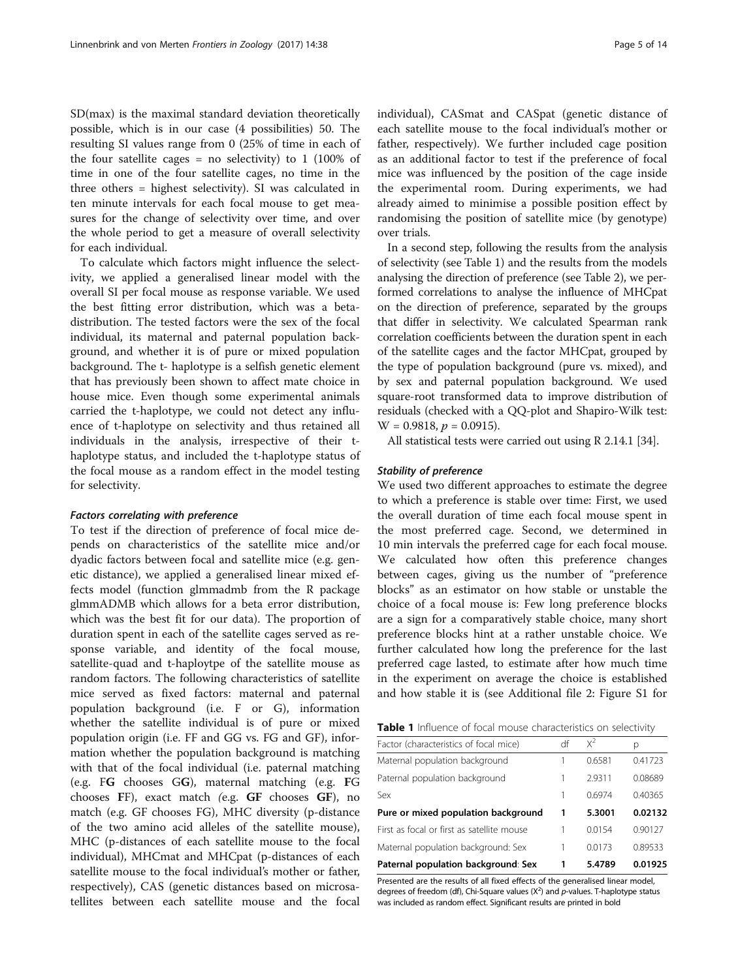<span id="page-4-0"></span>SD(max) is the maximal standard deviation theoretically possible, which is in our case (4 possibilities) 50. The resulting SI values range from 0 (25% of time in each of the four satellite cages  $=$  no selectivity) to 1 (100% of time in one of the four satellite cages, no time in the three others = highest selectivity). SI was calculated in ten minute intervals for each focal mouse to get measures for the change of selectivity over time, and over the whole period to get a measure of overall selectivity for each individual.

To calculate which factors might influence the selectivity, we applied a generalised linear model with the overall SI per focal mouse as response variable. We used the best fitting error distribution, which was a betadistribution. The tested factors were the sex of the focal individual, its maternal and paternal population background, and whether it is of pure or mixed population background. The t- haplotype is a selfish genetic element that has previously been shown to affect mate choice in house mice. Even though some experimental animals carried the t-haplotype, we could not detect any influence of t-haplotype on selectivity and thus retained all individuals in the analysis, irrespective of their thaplotype status, and included the t-haplotype status of the focal mouse as a random effect in the model testing for selectivity.

#### Factors correlating with preference

To test if the direction of preference of focal mice depends on characteristics of the satellite mice and/or dyadic factors between focal and satellite mice (e.g. genetic distance), we applied a generalised linear mixed effects model (function glmmadmb from the R package glmmADMB which allows for a beta error distribution, which was the best fit for our data). The proportion of duration spent in each of the satellite cages served as response variable, and identity of the focal mouse, satellite-quad and t-haploytpe of the satellite mouse as random factors. The following characteristics of satellite mice served as fixed factors: maternal and paternal population background (i.e. F or G), information whether the satellite individual is of pure or mixed population origin (i.e. FF and GG vs. FG and GF), information whether the population background is matching with that of the focal individual (i.e. paternal matching (e.g. FG chooses GG), maternal matching (e.g. FG chooses FF), exact match (e.g. GF chooses GF), no match (e.g. GF chooses FG), MHC diversity (p-distance of the two amino acid alleles of the satellite mouse), MHC (p-distances of each satellite mouse to the focal individual), MHCmat and MHCpat (p-distances of each satellite mouse to the focal individual's mother or father, respectively), CAS (genetic distances based on microsatellites between each satellite mouse and the focal individual), CASmat and CASpat (genetic distance of each satellite mouse to the focal individual's mother or father, respectively). We further included cage position as an additional factor to test if the preference of focal mice was influenced by the position of the cage inside the experimental room. During experiments, we had already aimed to minimise a possible position effect by randomising the position of satellite mice (by genotype) over trials.

In a second step, following the results from the analysis of selectivity (see Table 1) and the results from the models analysing the direction of preference (see Table [2](#page-5-0)), we performed correlations to analyse the influence of MHCpat on the direction of preference, separated by the groups that differ in selectivity. We calculated Spearman rank correlation coefficients between the duration spent in each of the satellite cages and the factor MHCpat, grouped by the type of population background (pure vs. mixed), and by sex and paternal population background. We used square-root transformed data to improve distribution of residuals (checked with a QQ-plot and Shapiro-Wilk test:  $W = 0.9818, p = 0.0915$ .

All statistical tests were carried out using R 2.14.1 [\[34\]](#page-12-0).

#### Stability of preference

We used two different approaches to estimate the degree to which a preference is stable over time: First, we used the overall duration of time each focal mouse spent in the most preferred cage. Second, we determined in 10 min intervals the preferred cage for each focal mouse. We calculated how often this preference changes between cages, giving us the number of "preference blocks" as an estimator on how stable or unstable the choice of a focal mouse is: Few long preference blocks are a sign for a comparatively stable choice, many short preference blocks hint at a rather unstable choice. We further calculated how long the preference for the last preferred cage lasted, to estimate after how much time in the experiment on average the choice is established and how stable it is (see Additional file [2](#page-11-0): Figure S1 for

| <b>Table 1</b> Influence of focal mouse characteristics on selectivity |  |
|------------------------------------------------------------------------|--|
|------------------------------------------------------------------------|--|

| Factor (characteristics of focal mice)     | df | $X^2$  | р       |
|--------------------------------------------|----|--------|---------|
| Maternal population background             |    | 0.6581 | 0.41723 |
| Paternal population background             |    | 2.9311 | 0.08689 |
| Sex                                        |    | 06974  | 0.40365 |
| Pure or mixed population background        | 1  | 5.3001 | 0.02132 |
| First as focal or first as satellite mouse |    | 00154  | 0.90127 |
| Maternal population background: Sex        |    | 0.0173 | 0.89533 |
| Paternal population background: Sex        | 1  | 5.4789 | 0.01925 |

Presented are the results of all fixed effects of the generalised linear model degrees of freedom (df), Chi-Square values  $(X^2)$  and p-values. T-haplotype status<br>was included as random effect. Significant results are printed in hold was included as random effect. Significant results are printed in bold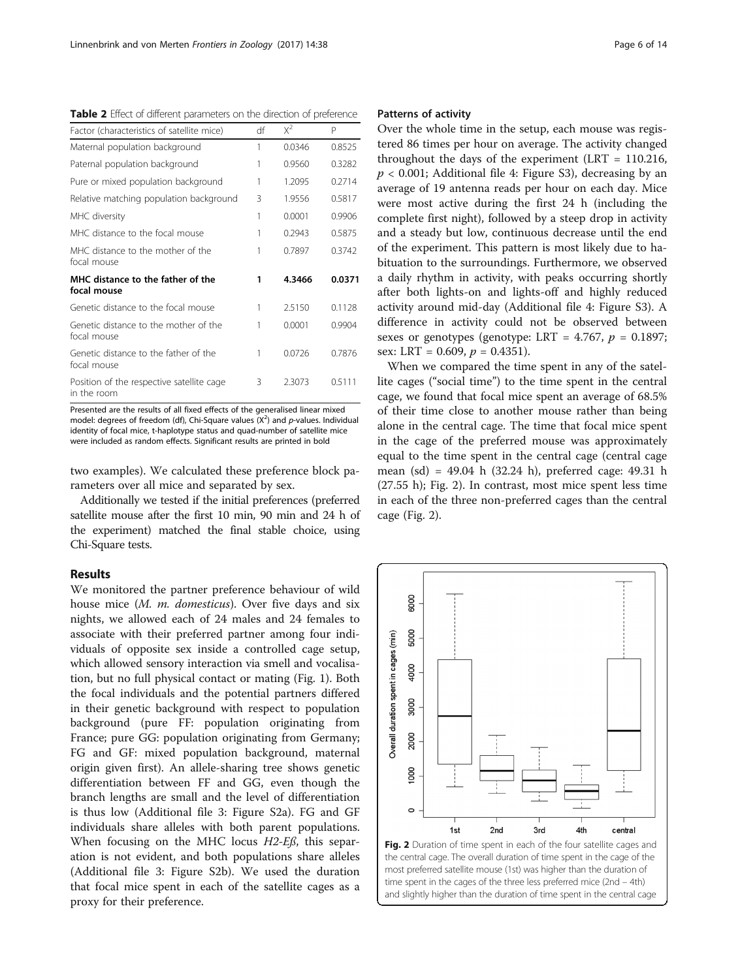<span id="page-5-0"></span>Table 2 Effect of different parameters on the direction of preference

| Factor (characteristics of satellite mice)               | df | $X^2$  | P      |
|----------------------------------------------------------|----|--------|--------|
| Maternal population background                           | 1  | 0.0346 | 0.8525 |
| Paternal population background                           | 1  | 0.9560 | 0.3282 |
| Pure or mixed population background                      | 1  | 1.2095 | 0.2714 |
| Relative matching population background                  | 3  | 1.9556 | 0.5817 |
| MHC diversity                                            | 1  | 0.0001 | 0.9906 |
| MHC distance to the focal mouse                          | 1  | 0.2943 | 0.5875 |
| MHC distance to the mother of the<br>focal mouse         | 1  | 0.7897 | 0.3742 |
| MHC distance to the father of the<br>focal mouse         | 1  | 4.3466 | 0.0371 |
| Genetic distance to the focal mouse                      | 1  | 2.5150 | 0.1128 |
| Genetic distance to the mother of the<br>focal mouse     | 1  | 0.0001 | 0.9904 |
| Genetic distance to the father of the<br>focal mouse     | 1  | 0.0726 | 0.7876 |
| Position of the respective satellite cage<br>in the room | 3  | 2.3073 | 0.5111 |

Presented are the results of all fixed effects of the generalised linear mixed model: degrees of freedom (df), Chi-Square values (X<sup>2</sup>) and *p*-values. Individual<br>identity of focal mice, t-banlotune status and quad-number of satellite mice identity of focal mice, t-haplotype status and quad-number of satellite mice were included as random effects. Significant results are printed in bold

two examples). We calculated these preference block parameters over all mice and separated by sex.

Additionally we tested if the initial preferences (preferred satellite mouse after the first 10 min, 90 min and 24 h of the experiment) matched the final stable choice, using Chi-Square tests.

## Results

We monitored the partner preference behaviour of wild house mice (*M. m. domesticus*). Over five days and six nights, we allowed each of 24 males and 24 females to associate with their preferred partner among four individuals of opposite sex inside a controlled cage setup, which allowed sensory interaction via smell and vocalisation, but no full physical contact or mating (Fig. [1\)](#page-2-0). Both the focal individuals and the potential partners differed in their genetic background with respect to population background (pure FF: population originating from France; pure GG: population originating from Germany; FG and GF: mixed population background, maternal origin given first). An allele-sharing tree shows genetic differentiation between FF and GG, even though the branch lengths are small and the level of differentiation is thus low (Additional file [3:](#page-11-0) Figure S2a). FG and GF individuals share alleles with both parent populations. When focusing on the MHC locus H2-Eß, this separation is not evident, and both populations share alleles (Additional file [3:](#page-11-0) Figure S2b). We used the duration that focal mice spent in each of the satellite cages as a proxy for their preference.

## Patterns of activity

Over the whole time in the setup, each mouse was registered 86 times per hour on average. The activity changed throughout the days of the experiment  $(LRT = 110.216,$  $p < 0.001$ ; Additional file [4](#page-11-0): Figure S3), decreasing by an average of 19 antenna reads per hour on each day. Mice were most active during the first 24 h (including the complete first night), followed by a steep drop in activity and a steady but low, continuous decrease until the end of the experiment. This pattern is most likely due to habituation to the surroundings. Furthermore, we observed a daily rhythm in activity, with peaks occurring shortly after both lights-on and lights-off and highly reduced activity around mid-day (Additional file [4:](#page-11-0) Figure S3). A difference in activity could not be observed between sexes or genotypes (genotype: LRT = 4.767,  $p = 0.1897$ ; sex: LRT =  $0.609$ ,  $p = 0.4351$ ).

When we compared the time spent in any of the satellite cages ("social time") to the time spent in the central cage, we found that focal mice spent an average of 68.5% of their time close to another mouse rather than being alone in the central cage. The time that focal mice spent in the cage of the preferred mouse was approximately equal to the time spent in the central cage (central cage mean (sd) = 49.04 h (32.24 h), preferred cage: 49.31 h (27.55 h); Fig. 2). In contrast, most mice spent less time in each of the three non-preferred cages than the central cage (Fig. 2).



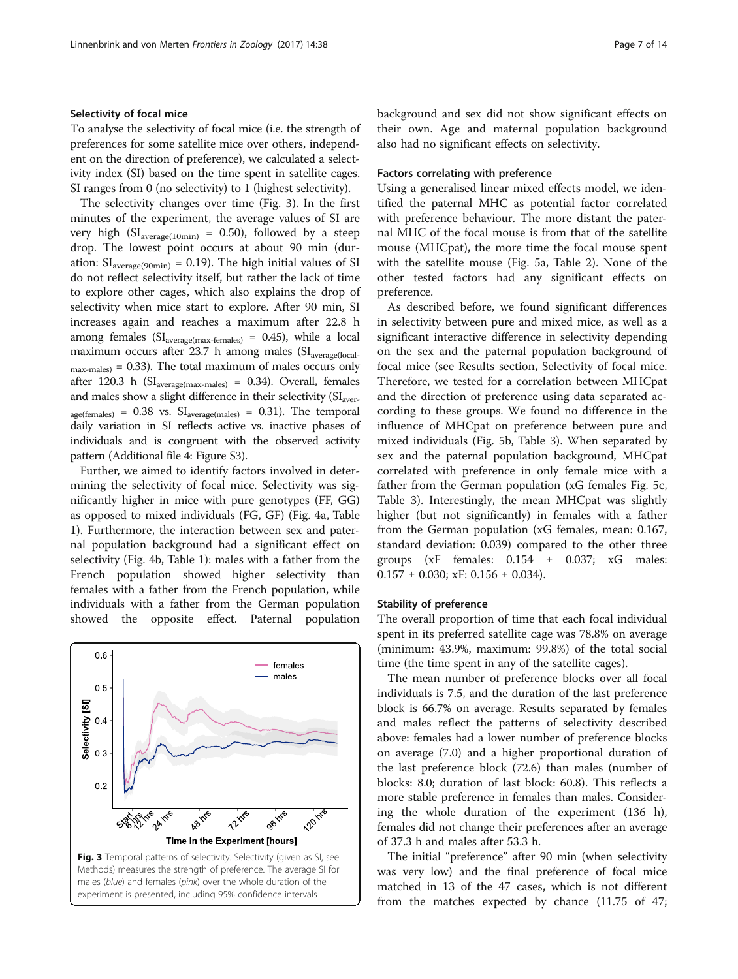## Selectivity of focal mice

To analyse the selectivity of focal mice (i.e. the strength of preferences for some satellite mice over others, independent on the direction of preference), we calculated a selectivity index (SI) based on the time spent in satellite cages. SI ranges from 0 (no selectivity) to 1 (highest selectivity).

The selectivity changes over time (Fig. 3). In the first minutes of the experiment, the average values of SI are very high  $(SI_{average(10min)} = 0.50)$ , followed by a steep drop. The lowest point occurs at about 90 min (duration:  $SI_{average(90min)} = 0.19$ ). The high initial values of SI do not reflect selectivity itself, but rather the lack of time to explore other cages, which also explains the drop of selectivity when mice start to explore. After 90 min, SI increases again and reaches a maximum after 22.8 h among females ( $SI_{average(max-females}) = 0.45$ ), while a local maximum occurs after 23.7 h among males  $(SI_{\text{averagelocal}})$  $_{max-males}$  = 0.33). The total maximum of males occurs only after 120.3 h ( $SI_{average(max-males}$  = 0.34). Overall, females and males show a slight difference in their selectivity  $(SI_{\text{aver}})$ age(females) =  $0.38$  vs.  $SI_{\text{average(males)}}$  = 0.31). The temporal daily variation in SI reflects active vs. inactive phases of individuals and is congruent with the observed activity pattern (Additional file [4](#page-11-0): Figure S3).

Further, we aimed to identify factors involved in determining the selectivity of focal mice. Selectivity was significantly higher in mice with pure genotypes (FF, GG) as opposed to mixed individuals (FG, GF) (Fig. [4a](#page-7-0), Table [1\)](#page-4-0). Furthermore, the interaction between sex and paternal population background had a significant effect on selectivity (Fig. [4b](#page-7-0), Table [1](#page-4-0)): males with a father from the French population showed higher selectivity than females with a father from the French population, while individuals with a father from the German population showed the opposite effect. Paternal population



background and sex did not show significant effects on their own. Age and maternal population background also had no significant effects on selectivity.

## Factors correlating with preference

Using a generalised linear mixed effects model, we identified the paternal MHC as potential factor correlated with preference behaviour. The more distant the paternal MHC of the focal mouse is from that of the satellite mouse (MHCpat), the more time the focal mouse spent with the satellite mouse (Fig. [5a,](#page-8-0) Table [2\)](#page-5-0). None of the other tested factors had any significant effects on preference.

As described before, we found significant differences in selectivity between pure and mixed mice, as well as a significant interactive difference in selectivity depending on the sex and the paternal population background of focal mice (see [Results](#page-5-0) section, Selectivity of focal mice. Therefore, we tested for a correlation between MHCpat and the direction of preference using data separated according to these groups. We found no difference in the influence of MHCpat on preference between pure and mixed individuals (Fig. [5b,](#page-8-0) Table [3\)](#page-8-0). When separated by sex and the paternal population background, MHCpat correlated with preference in only female mice with a father from the German population (xG females Fig. [5c](#page-8-0), Table [3](#page-8-0)). Interestingly, the mean MHCpat was slightly higher (but not significantly) in females with a father from the German population (xG females, mean: 0.167, standard deviation: 0.039) compared to the other three groups  $(xF$  females:  $0.154 \pm 0.037$ ;  $xG$  males:  $0.157 \pm 0.030$ ; xF:  $0.156 \pm 0.034$ ).

#### Stability of preference

The overall proportion of time that each focal individual spent in its preferred satellite cage was 78.8% on average (minimum: 43.9%, maximum: 99.8%) of the total social time (the time spent in any of the satellite cages).

The mean number of preference blocks over all focal individuals is 7.5, and the duration of the last preference block is 66.7% on average. Results separated by females and males reflect the patterns of selectivity described above: females had a lower number of preference blocks on average (7.0) and a higher proportional duration of the last preference block (72.6) than males (number of blocks: 8.0; duration of last block: 60.8). This reflects a more stable preference in females than males. Considering the whole duration of the experiment (136 h), females did not change their preferences after an average of 37.3 h and males after 53.3 h.

The initial "preference" after 90 min (when selectivity was very low) and the final preference of focal mice matched in 13 of the 47 cases, which is not different from the matches expected by chance (11.75 of 47;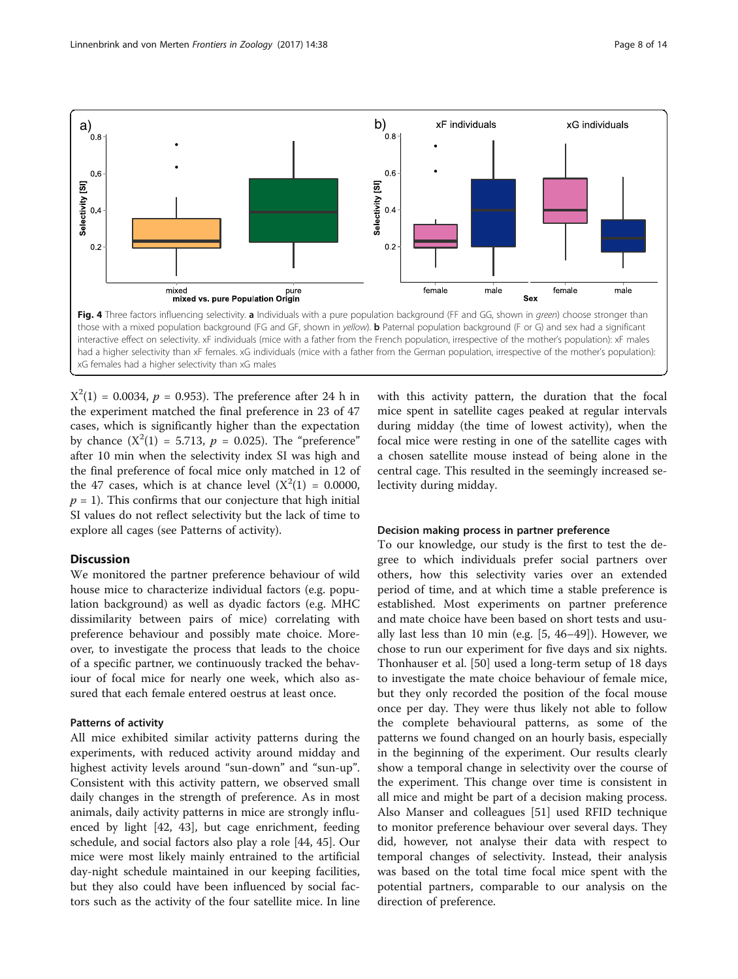<span id="page-7-0"></span>

 $X^2(1) = 0.0034$ ,  $p = 0.953$ ). The preference after 24 h in the experiment matched the final preference in 23 of 47 cases, which is significantly higher than the expectation by chance  $(X^2(1) = 5.713, p = 0.025)$ . The "preference" after 10 min when the selectivity index SI was high and the final preference of focal mice only matched in 12 of the 47 cases, which is at chance level  $(X^2(1) = 0.0000,$  $p = 1$ ). This confirms that our conjecture that high initial SI values do not reflect selectivity but the lack of time to explore all cages (see [Patterns of activity](#page-3-0)).

## **Discussion**

We monitored the partner preference behaviour of wild house mice to characterize individual factors (e.g. population background) as well as dyadic factors (e.g. MHC dissimilarity between pairs of mice) correlating with preference behaviour and possibly mate choice. Moreover, to investigate the process that leads to the choice of a specific partner, we continuously tracked the behaviour of focal mice for nearly one week, which also assured that each female entered oestrus at least once.

## Patterns of activity

All mice exhibited similar activity patterns during the experiments, with reduced activity around midday and highest activity levels around "sun-down" and "sun-up". Consistent with this activity pattern, we observed small daily changes in the strength of preference. As in most animals, daily activity patterns in mice are strongly influenced by light [\[42, 43](#page-12-0)], but cage enrichment, feeding schedule, and social factors also play a role [\[44](#page-12-0), [45](#page-12-0)]. Our mice were most likely mainly entrained to the artificial day-night schedule maintained in our keeping facilities, but they also could have been influenced by social factors such as the activity of the four satellite mice. In line with this activity pattern, the duration that the focal mice spent in satellite cages peaked at regular intervals during midday (the time of lowest activity), when the focal mice were resting in one of the satellite cages with a chosen satellite mouse instead of being alone in the central cage. This resulted in the seemingly increased selectivity during midday.

#### Decision making process in partner preference

To our knowledge, our study is the first to test the degree to which individuals prefer social partners over others, how this selectivity varies over an extended period of time, and at which time a stable preference is established. Most experiments on partner preference and mate choice have been based on short tests and usually last less than 10 min (e.g. [\[5](#page-11-0), [46](#page-12-0)–[49](#page-12-0)]). However, we chose to run our experiment for five days and six nights. Thonhauser et al. [[50\]](#page-12-0) used a long-term setup of 18 days to investigate the mate choice behaviour of female mice, but they only recorded the position of the focal mouse once per day. They were thus likely not able to follow the complete behavioural patterns, as some of the patterns we found changed on an hourly basis, especially in the beginning of the experiment. Our results clearly show a temporal change in selectivity over the course of the experiment. This change over time is consistent in all mice and might be part of a decision making process. Also Manser and colleagues [[51](#page-12-0)] used RFID technique to monitor preference behaviour over several days. They did, however, not analyse their data with respect to temporal changes of selectivity. Instead, their analysis was based on the total time focal mice spent with the potential partners, comparable to our analysis on the direction of preference.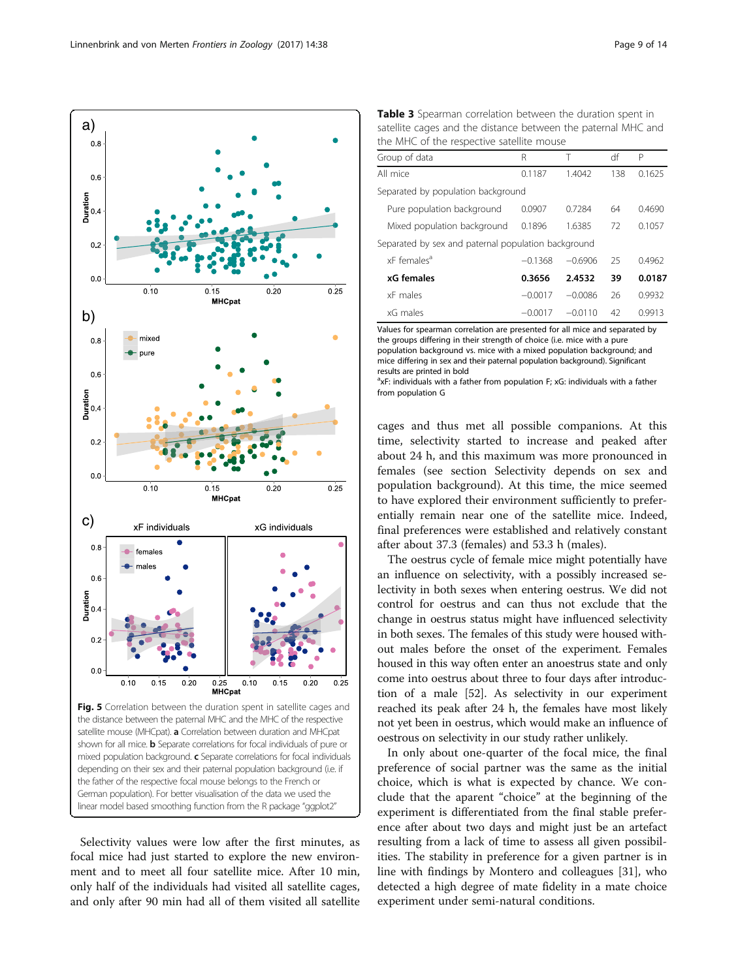<span id="page-8-0"></span>

shown for all mice. **b** Separate correlations for focal individuals of pure or mixed population background. c Separate correlations for focal individuals depending on their sex and their paternal population background (i.e. if the father of the respective focal mouse belongs to the French or German population). For better visualisation of the data we used the linear model based smoothing function from the R package "ggplot2"

Selectivity values were low after the first minutes, as focal mice had just started to explore the new environment and to meet all four satellite mice. After 10 min, only half of the individuals had visited all satellite cages, and only after 90 min had all of them visited all satellite

Table 3 Spearman correlation between the duration spent in satellite cages and the distance between the paternal MHC and the MHC of the respective satellite mouse

| Group of data                                       | R         |           | df  | P      |  |  |  |  |
|-----------------------------------------------------|-----------|-----------|-----|--------|--|--|--|--|
| All mice                                            | 0.1187    | 1.4042    | 138 | 0.1625 |  |  |  |  |
| Separated by population background                  |           |           |     |        |  |  |  |  |
| Pure population background                          | 0.0907    | 0.7284    | 64  | 0.4690 |  |  |  |  |
| Mixed population background                         | 0.1896    | 1.6385    | 72  | 0.1057 |  |  |  |  |
| Separated by sex and paternal population background |           |           |     |        |  |  |  |  |
| xF females <sup>a</sup>                             | $-0.1368$ | $-0.6906$ | 25  | 0.4962 |  |  |  |  |
| xG females                                          | 0.3656    | 2.4532    | 39  | 0.0187 |  |  |  |  |
| xF males                                            | $-0.0017$ | $-0.0086$ | 26  | 0.9932 |  |  |  |  |
| xG males                                            | $-0.0017$ | $-0.0110$ | 42  | 0.9913 |  |  |  |  |

Values for spearman correlation are presented for all mice and separated by the groups differing in their strength of choice (i.e. mice with a pure population background vs. mice with a mixed population background; and mice differing in sex and their paternal population background). Significant results are printed in bold

<sup>a</sup>xF: individuals with a father from population F; xG: individuals with a father from population G

cages and thus met all possible companions. At this time, selectivity started to increase and peaked after about 24 h, and this maximum was more pronounced in females (see section [Selectivity depends on sex and](#page-9-0) [population background](#page-9-0)). At this time, the mice seemed to have explored their environment sufficiently to preferentially remain near one of the satellite mice. Indeed, final preferences were established and relatively constant after about 37.3 (females) and 53.3 h (males).

The oestrus cycle of female mice might potentially have an influence on selectivity, with a possibly increased selectivity in both sexes when entering oestrus. We did not control for oestrus and can thus not exclude that the change in oestrus status might have influenced selectivity in both sexes. The females of this study were housed without males before the onset of the experiment. Females housed in this way often enter an anoestrus state and only come into oestrus about three to four days after introduction of a male [\[52\]](#page-12-0). As selectivity in our experiment reached its peak after 24 h, the females have most likely not yet been in oestrus, which would make an influence of oestrous on selectivity in our study rather unlikely.

In only about one-quarter of the focal mice, the final preference of social partner was the same as the initial choice, which is what is expected by chance. We conclude that the aparent "choice" at the beginning of the experiment is differentiated from the final stable preference after about two days and might just be an artefact resulting from a lack of time to assess all given possibilities. The stability in preference for a given partner is in line with findings by Montero and colleagues [\[31](#page-12-0)], who detected a high degree of mate fidelity in a mate choice experiment under semi-natural conditions.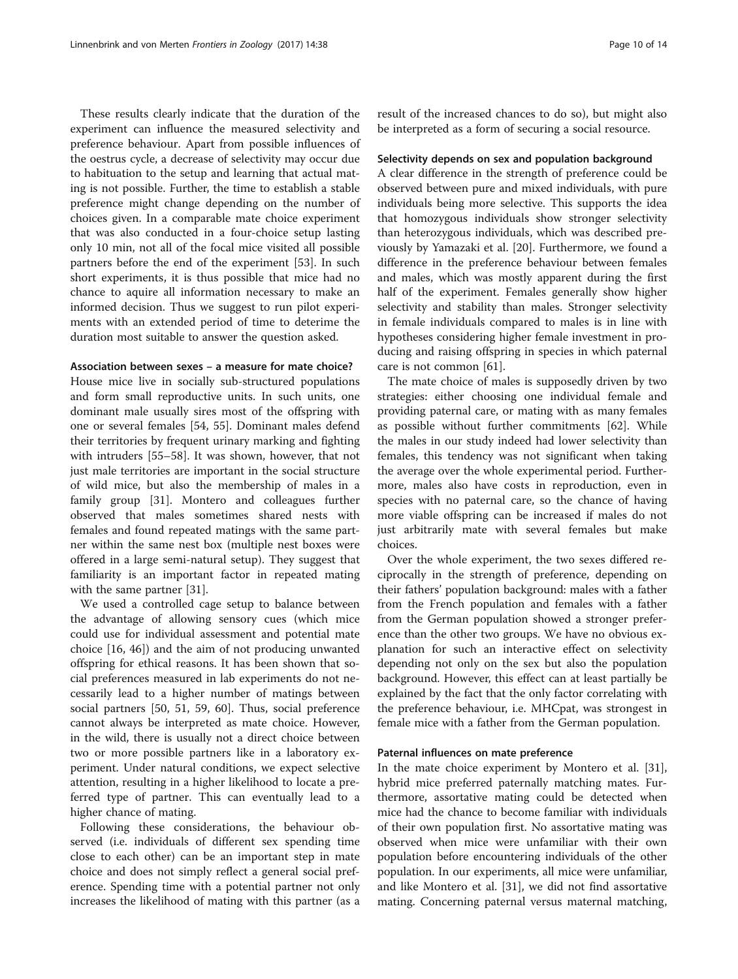<span id="page-9-0"></span>These results clearly indicate that the duration of the experiment can influence the measured selectivity and preference behaviour. Apart from possible influences of the oestrus cycle, a decrease of selectivity may occur due to habituation to the setup and learning that actual mating is not possible. Further, the time to establish a stable preference might change depending on the number of choices given. In a comparable mate choice experiment that was also conducted in a four-choice setup lasting only 10 min, not all of the focal mice visited all possible partners before the end of the experiment [\[53](#page-12-0)]. In such short experiments, it is thus possible that mice had no chance to aquire all information necessary to make an informed decision. Thus we suggest to run pilot experiments with an extended period of time to deterime the duration most suitable to answer the question asked.

## Association between sexes – a measure for mate choice?

House mice live in socially sub-structured populations and form small reproductive units. In such units, one dominant male usually sires most of the offspring with one or several females [[54](#page-12-0), [55](#page-12-0)]. Dominant males defend their territories by frequent urinary marking and fighting with intruders [\[55](#page-12-0)–[58\]](#page-12-0). It was shown, however, that not just male territories are important in the social structure of wild mice, but also the membership of males in a family group [[31\]](#page-12-0). Montero and colleagues further observed that males sometimes shared nests with females and found repeated matings with the same partner within the same nest box (multiple nest boxes were offered in a large semi-natural setup). They suggest that familiarity is an important factor in repeated mating with the same partner [\[31\]](#page-12-0).

We used a controlled cage setup to balance between the advantage of allowing sensory cues (which mice could use for individual assessment and potential mate choice [\[16](#page-11-0), [46](#page-12-0)]) and the aim of not producing unwanted offspring for ethical reasons. It has been shown that social preferences measured in lab experiments do not necessarily lead to a higher number of matings between social partners [[50, 51](#page-12-0), [59](#page-12-0), [60\]](#page-12-0). Thus, social preference cannot always be interpreted as mate choice. However, in the wild, there is usually not a direct choice between two or more possible partners like in a laboratory experiment. Under natural conditions, we expect selective attention, resulting in a higher likelihood to locate a preferred type of partner. This can eventually lead to a higher chance of mating.

Following these considerations, the behaviour observed (i.e. individuals of different sex spending time close to each other) can be an important step in mate choice and does not simply reflect a general social preference. Spending time with a potential partner not only increases the likelihood of mating with this partner (as a

result of the increased chances to do so), but might also be interpreted as a form of securing a social resource.

#### Selectivity depends on sex and population background

A clear difference in the strength of preference could be observed between pure and mixed individuals, with pure individuals being more selective. This supports the idea that homozygous individuals show stronger selectivity than heterozygous individuals, which was described previously by Yamazaki et al. [[20\]](#page-12-0). Furthermore, we found a difference in the preference behaviour between females and males, which was mostly apparent during the first half of the experiment. Females generally show higher selectivity and stability than males. Stronger selectivity in female individuals compared to males is in line with hypotheses considering higher female investment in producing and raising offspring in species in which paternal care is not common [[61\]](#page-12-0).

The mate choice of males is supposedly driven by two strategies: either choosing one individual female and providing paternal care, or mating with as many females as possible without further commitments [\[62\]](#page-12-0). While the males in our study indeed had lower selectivity than females, this tendency was not significant when taking the average over the whole experimental period. Furthermore, males also have costs in reproduction, even in species with no paternal care, so the chance of having more viable offspring can be increased if males do not just arbitrarily mate with several females but make choices.

Over the whole experiment, the two sexes differed reciprocally in the strength of preference, depending on their fathers' population background: males with a father from the French population and females with a father from the German population showed a stronger preference than the other two groups. We have no obvious explanation for such an interactive effect on selectivity depending not only on the sex but also the population background. However, this effect can at least partially be explained by the fact that the only factor correlating with the preference behaviour, i.e. MHCpat, was strongest in female mice with a father from the German population.

#### Paternal influences on mate preference

In the mate choice experiment by Montero et al. [\[31](#page-12-0)], hybrid mice preferred paternally matching mates. Furthermore, assortative mating could be detected when mice had the chance to become familiar with individuals of their own population first. No assortative mating was observed when mice were unfamiliar with their own population before encountering individuals of the other population. In our experiments, all mice were unfamiliar, and like Montero et al. [\[31\]](#page-12-0), we did not find assortative mating. Concerning paternal versus maternal matching,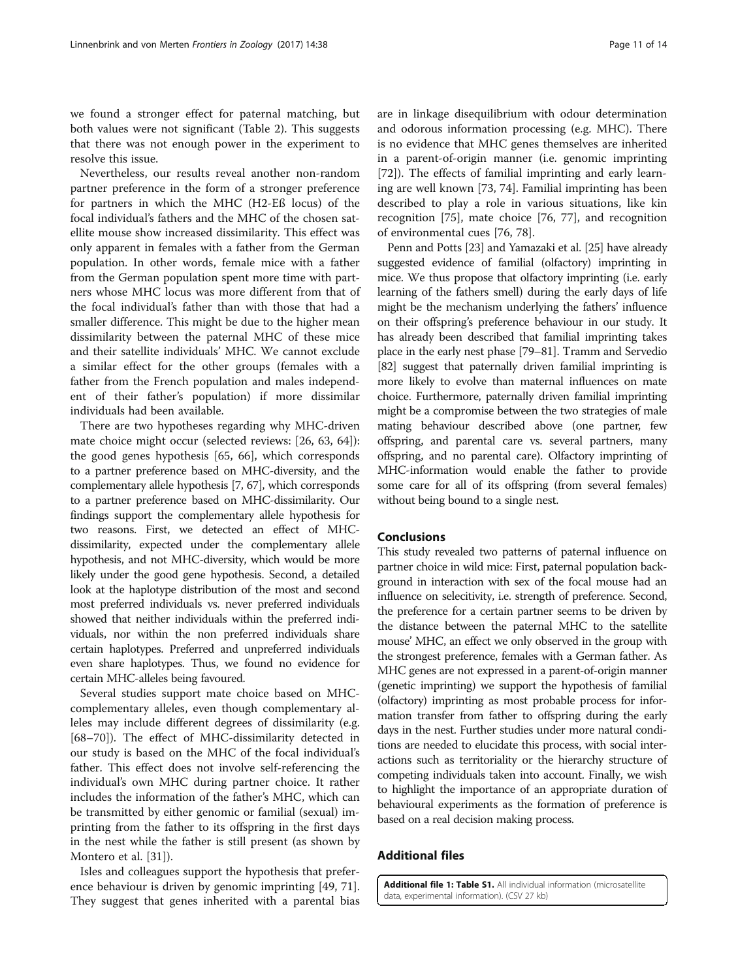<span id="page-10-0"></span>we found a stronger effect for paternal matching, but both values were not significant (Table [2](#page-5-0)). This suggests that there was not enough power in the experiment to resolve this issue.

Nevertheless, our results reveal another non-random partner preference in the form of a stronger preference for partners in which the MHC (H2-Eß locus) of the focal individual's fathers and the MHC of the chosen satellite mouse show increased dissimilarity. This effect was only apparent in females with a father from the German population. In other words, female mice with a father from the German population spent more time with partners whose MHC locus was more different from that of the focal individual's father than with those that had a smaller difference. This might be due to the higher mean dissimilarity between the paternal MHC of these mice and their satellite individuals' MHC. We cannot exclude a similar effect for the other groups (females with a father from the French population and males independent of their father's population) if more dissimilar individuals had been available.

There are two hypotheses regarding why MHC-driven mate choice might occur (selected reviews: [[26](#page-12-0), [63, 64](#page-12-0)]): the good genes hypothesis [\[65, 66](#page-12-0)], which corresponds to a partner preference based on MHC-diversity, and the complementary allele hypothesis [\[7,](#page-11-0) [67\]](#page-12-0), which corresponds to a partner preference based on MHC-dissimilarity. Our findings support the complementary allele hypothesis for two reasons. First, we detected an effect of MHCdissimilarity, expected under the complementary allele hypothesis, and not MHC-diversity, which would be more likely under the good gene hypothesis. Second, a detailed look at the haplotype distribution of the most and second most preferred individuals vs. never preferred individuals showed that neither individuals within the preferred individuals, nor within the non preferred individuals share certain haplotypes. Preferred and unpreferred individuals even share haplotypes. Thus, we found no evidence for certain MHC-alleles being favoured.

Several studies support mate choice based on MHCcomplementary alleles, even though complementary alleles may include different degrees of dissimilarity (e.g. [[68](#page-12-0)–[70](#page-12-0)]). The effect of MHC-dissimilarity detected in our study is based on the MHC of the focal individual's father. This effect does not involve self-referencing the individual's own MHC during partner choice. It rather includes the information of the father's MHC, which can be transmitted by either genomic or familial (sexual) imprinting from the father to its offspring in the first days in the nest while the father is still present (as shown by Montero et al. [\[31](#page-12-0)]).

Isles and colleagues support the hypothesis that preference behaviour is driven by genomic imprinting [\[49](#page-12-0), [71](#page-12-0)]. They suggest that genes inherited with a parental bias are in linkage disequilibrium with odour determination and odorous information processing (e.g. MHC). There is no evidence that MHC genes themselves are inherited in a parent-of-origin manner (i.e. genomic imprinting [[72\]](#page-12-0)). The effects of familial imprinting and early learning are well known [[73](#page-12-0), [74](#page-12-0)]. Familial imprinting has been described to play a role in various situations, like kin recognition [[75\]](#page-12-0), mate choice [[76, 77\]](#page-13-0), and recognition of environmental cues [[76, 78\]](#page-13-0).

Penn and Potts [\[23\]](#page-12-0) and Yamazaki et al. [[25](#page-12-0)] have already suggested evidence of familial (olfactory) imprinting in mice. We thus propose that olfactory imprinting (i.e. early learning of the fathers smell) during the early days of life might be the mechanism underlying the fathers' influence on their offspring's preference behaviour in our study. It has already been described that familial imprinting takes place in the early nest phase [[79](#page-13-0)–[81](#page-13-0)]. Tramm and Servedio [[82](#page-13-0)] suggest that paternally driven familial imprinting is more likely to evolve than maternal influences on mate choice. Furthermore, paternally driven familial imprinting might be a compromise between the two strategies of male mating behaviour described above (one partner, few offspring, and parental care vs. several partners, many offspring, and no parental care). Olfactory imprinting of MHC-information would enable the father to provide some care for all of its offspring (from several females) without being bound to a single nest.

## Conclusions

This study revealed two patterns of paternal influence on partner choice in wild mice: First, paternal population background in interaction with sex of the focal mouse had an influence on selecitivity, i.e. strength of preference. Second, the preference for a certain partner seems to be driven by the distance between the paternal MHC to the satellite mouse' MHC, an effect we only observed in the group with the strongest preference, females with a German father. As MHC genes are not expressed in a parent-of-origin manner (genetic imprinting) we support the hypothesis of familial (olfactory) imprinting as most probable process for information transfer from father to offspring during the early days in the nest. Further studies under more natural conditions are needed to elucidate this process, with social interactions such as territoriality or the hierarchy structure of competing individuals taken into account. Finally, we wish to highlight the importance of an appropriate duration of behavioural experiments as the formation of preference is based on a real decision making process.

## Additional files

[Additional file 1: Table S1.](dx.doi.org/10.1186/s12983-017-0224-y) All individual information (microsatellite data, experimental information). (CSV 27 kb)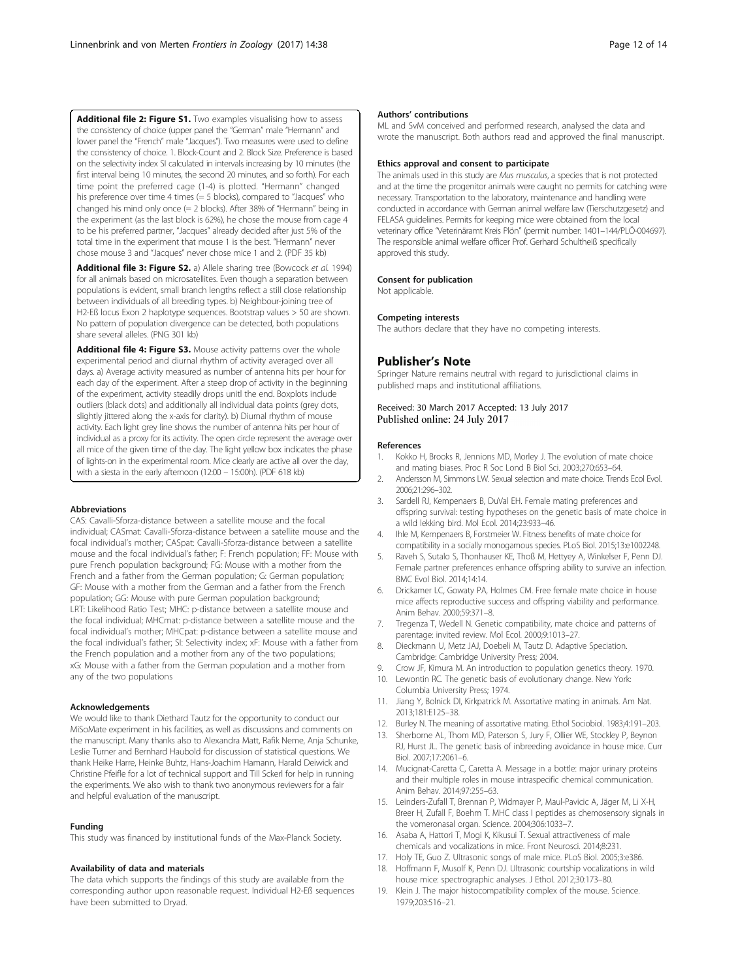<span id="page-11-0"></span>[Additional file 2: Figure S1.](dx.doi.org/10.1186/s12983-017-0224-y) Two examples visualising how to assess the consistency of choice (upper panel the "German" male "Hermann" and lower panel the "French" male "Jacques"). Two measures were used to define the consistency of choice. 1. Block-Count and 2. Block Size. Preference is based on the selectivity index SI calculated in intervals increasing by 10 minutes (the first interval being 10 minutes, the second 20 minutes, and so forth). For each time point the preferred cage (1-4) is plotted. "Hermann" changed his preference over time 4 times (= 5 blocks), compared to "Jacques" who changed his mind only once (= 2 blocks). After 38% of "Hermann" being in the experiment (as the last block is 62%), he chose the mouse from cage 4 to be his preferred partner, "Jacques" already decided after just 5% of the total time in the experiment that mouse 1 is the best. "Hermann" never chose mouse 3 and "Jacques" never chose mice 1 and 2. (PDF 35 kb)

[Additional file 3: Figure S2.](dx.doi.org/10.1186/s12983-017-0224-y) a) Allele sharing tree (Bowcock et al. 1994) for all animals based on microsatellites. Even though a separation between populations is evident, small branch lengths reflect a still close relationship between individuals of all breeding types. b) Neighbour-joining tree of H2-Eß locus Exon 2 haplotype sequences. Bootstrap values > 50 are shown. No pattern of population divergence can be detected, both populations share several alleles. (PNG 301 kb)

[Additional file 4: Figure S3.](dx.doi.org/10.1186/s12983-017-0224-y) Mouse activity patterns over the whole experimental period and diurnal rhythm of activity averaged over all days. a) Average activity measured as number of antenna hits per hour for each day of the experiment. After a steep drop of activity in the beginning of the experiment, activity steadily drops unitl the end. Boxplots include outliers (black dots) and additionally all individual data points (grey dots, slightly jittered along the x-axis for clarity). b) Diurnal rhythm of mouse activity. Each light grey line shows the number of antenna hits per hour of individual as a proxy for its activity. The open circle represent the average over all mice of the given time of the day. The light yellow box indicates the phase of lights-on in the experimental room. Mice clearly are active all over the day, with a siesta in the early afternoon (12:00 – 15:00h). (PDF 618 kb)

### Abbreviations

CAS: Cavalli-Sforza-distance between a satellite mouse and the focal individual; CASmat: Cavalli-Sforza-distance between a satellite mouse and the focal individual's mother; CASpat: Cavalli-Sforza-distance between a satellite mouse and the focal individual's father; F: French population; FF: Mouse with pure French population background; FG: Mouse with a mother from the French and a father from the German population; G: German population; GF: Mouse with a mother from the German and a father from the French population; GG: Mouse with pure German population background; LRT: Likelihood Ratio Test; MHC: p-distance between a satellite mouse and the focal individual; MHCmat: p-distance between a satellite mouse and the focal individual's mother; MHCpat: p-distance between a satellite mouse and the focal individual's father; SI: Selectivity index; xF: Mouse with a father from the French population and a mother from any of the two populations; xG: Mouse with a father from the German population and a mother from any of the two populations

#### Acknowledgements

We would like to thank Diethard Tautz for the opportunity to conduct our MiSoMate experiment in his facilities, as well as discussions and comments on the manuscript. Many thanks also to Alexandra Matt, Rafik Neme, Anja Schunke, Leslie Turner and Bernhard Haubold for discussion of statistical questions. We thank Heike Harre, Heinke Buhtz, Hans-Joachim Hamann, Harald Deiwick and Christine Pfeifle for a lot of technical support and Till Sckerl for help in running the experiments. We also wish to thank two anonymous reviewers for a fair and helpful evaluation of the manuscript.

#### Funding

This study was financed by institutional funds of the Max-Planck Society.

#### Availability of data and materials

The data which supports the findings of this study are available from the corresponding author upon reasonable request. Individual H2-Eß sequences have been submitted to Dryad.

#### Authors' contributions

ML and SvM conceived and performed research, analysed the data and wrote the manuscript. Both authors read and approved the final manuscript.

#### Ethics approval and consent to participate

The animals used in this study are Mus musculus, a species that is not protected and at the time the progenitor animals were caught no permits for catching were necessary. Transportation to the laboratory, maintenance and handling were conducted in accordance with German animal welfare law (Tierschutzgesetz) and FELASA guidelines. Permits for keeping mice were obtained from the local veterinary office "Veterinäramt Kreis Plön" (permit number: 1401–144/PLÖ-004697). The responsible animal welfare officer Prof. Gerhard Schultheiß specifically approved this study.

#### Consent for publication

Not applicable.

#### Competing interests

The authors declare that they have no competing interests.

#### Publisher's Note

Springer Nature remains neutral with regard to jurisdictional claims in published maps and institutional affiliations.

#### Received: 30 March 2017 Accepted: 13 July 2017 Published online: 24 July 2017

#### References

- 1. Kokko H, Brooks R, Jennions MD, Morley J. The evolution of mate choice and mating biases. Proc R Soc Lond B Biol Sci. 2003;270:653–64.
- 2. Andersson M, Simmons LW. Sexual selection and mate choice. Trends Ecol Evol. 2006;21:296–302.
- 3. Sardell RJ, Kempenaers B, DuVal EH. Female mating preferences and offspring survival: testing hypotheses on the genetic basis of mate choice in a wild lekking bird. Mol Ecol. 2014;23:933–46.
- 4. Ihle M, Kempenaers B, Forstmeier W. Fitness benefits of mate choice for compatibility in a socially monogamous species. PLoS Biol. 2015;13:e1002248.
- 5. Raveh S, Sutalo S, Thonhauser KE, Thoß M, Hettyey A, Winkelser F, Penn DJ. Female partner preferences enhance offspring ability to survive an infection. BMC Evol Biol. 2014;14:14.
- 6. Drickamer LC, Gowaty PA, Holmes CM. Free female mate choice in house mice affects reproductive success and offspring viability and performance. Anim Behav. 2000;59:371–8.
- 7. Tregenza T, Wedell N. Genetic compatibility, mate choice and patterns of parentage: invited review. Mol Ecol. 2000;9:1013–27.
- 8. Dieckmann U, Metz JAJ, Doebeli M, Tautz D. Adaptive Speciation. Cambridge: Cambridge University Press; 2004.
- 9. Crow JF, Kimura M. An introduction to population genetics theory. 1970.
- 10. Lewontin RC. The genetic basis of evolutionary change. New York: Columbia University Press; 1974.
- 11. Jiang Y, Bolnick DI, Kirkpatrick M. Assortative mating in animals. Am Nat. 2013;181:E125–38.
- 12. Burley N. The meaning of assortative mating. Ethol Sociobiol. 1983;4:191–203.
- 13. Sherborne AL, Thom MD, Paterson S, Jury F, Ollier WE, Stockley P, Beynon RJ, Hurst JL. The genetic basis of inbreeding avoidance in house mice. Curr Biol. 2007;17:2061–6.
- 14. Mucignat-Caretta C, Caretta A. Message in a bottle: major urinary proteins and their multiple roles in mouse intraspecific chemical communication. Anim Behav. 2014;97:255–63.
- 15. Leinders-Zufall T, Brennan P, Widmayer P, Maul-Pavicic A, Jäger M, Li X-H, Breer H, Zufall F, Boehm T. MHC class I peptides as chemosensory signals in the vomeronasal organ. Science. 2004;306:1033–7.
- 16. Asaba A, Hattori T, Mogi K, Kikusui T. Sexual attractiveness of male chemicals and vocalizations in mice. Front Neurosci. 2014;8:231.
- 17. Holy TE, Guo Z. Ultrasonic songs of male mice. PLoS Biol. 2005;3:e386.
- 18. Hoffmann F, Musolf K, Penn DJ. Ultrasonic courtship vocalizations in wild house mice: spectrographic analyses. J Ethol. 2012;30:173–80.
- 19. Klein J. The major histocompatibility complex of the mouse. Science. 1979;203:516–21.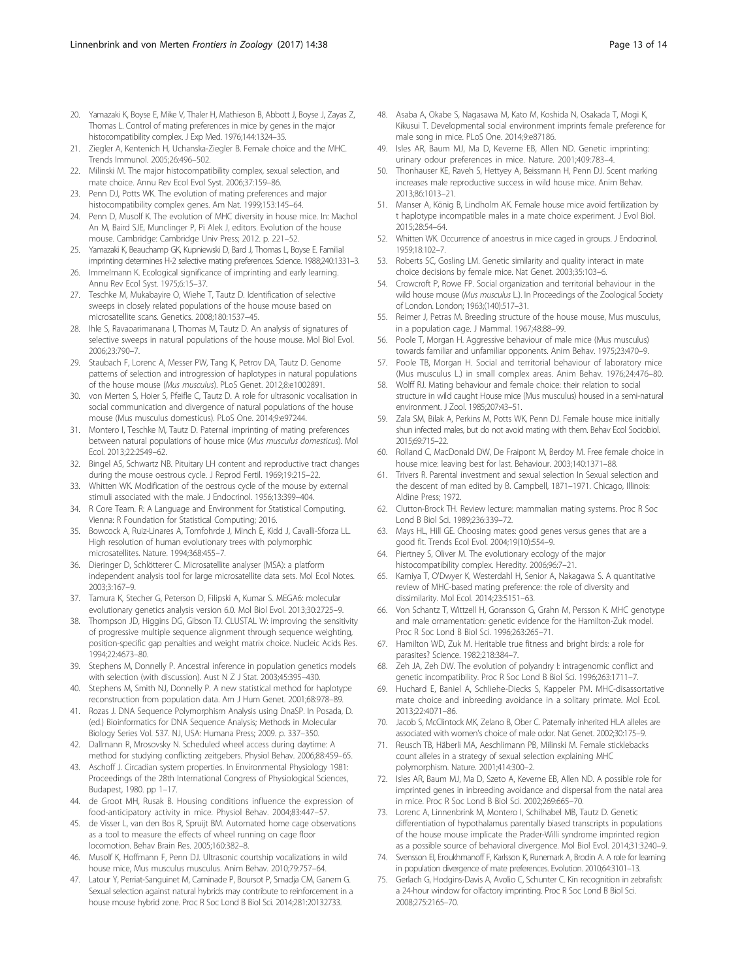- <span id="page-12-0"></span>20. Yamazaki K, Boyse E, Mike V, Thaler H, Mathieson B, Abbott J, Boyse J, Zayas Z, Thomas L. Control of mating preferences in mice by genes in the major histocompatibility complex. J Exp Med. 1976;144:1324–35.
- 21. Ziegler A, Kentenich H, Uchanska-Ziegler B. Female choice and the MHC. Trends Immunol. 2005;26:496–502.
- 22. Milinski M. The major histocompatibility complex, sexual selection, and mate choice. Annu Rev Ecol Evol Syst. 2006;37:159–86.
- 23. Penn DJ, Potts WK. The evolution of mating preferences and major histocompatibility complex genes. Am Nat. 1999;153:145–64.
- 24. Penn D, Musolf K. The evolution of MHC diversity in house mice. In: Machol An M, Baird SJE, Munclinger P, Pi Alek J, editors. Evolution of the house mouse. Cambridge: Cambridge Univ Press; 2012. p. 221–52.
- 25. Yamazaki K, Beauchamp GK, Kupniewski D, Bard J, Thomas L, Boyse E. Familial imprinting determines H-2 selective mating preferences. Science. 1988;240:1331–3.
- 26. Immelmann K. Ecological significance of imprinting and early learning. Annu Rev Ecol Syst. 1975;6:15–37.
- 27. Teschke M, Mukabayire O, Wiehe T, Tautz D. Identification of selective sweeps in closely related populations of the house mouse based on microsatellite scans. Genetics. 2008;180:1537–45.
- 28. Ihle S, Ravaoarimanana I, Thomas M, Tautz D. An analysis of signatures of selective sweeps in natural populations of the house mouse. Mol Biol Evol. 2006;23:790–7.
- 29. Staubach F, Lorenc A, Messer PW, Tang K, Petrov DA, Tautz D. Genome patterns of selection and introgression of haplotypes in natural populations of the house mouse (Mus musculus). PLoS Genet. 2012;8:e1002891.
- 30. von Merten S, Hoier S, Pfeifle C, Tautz D. A role for ultrasonic vocalisation in social communication and divergence of natural populations of the house mouse (Mus musculus domesticus). PLoS One. 2014;9:e97244.
- 31. Montero I, Teschke M, Tautz D. Paternal imprinting of mating preferences between natural populations of house mice (Mus musculus domesticus). Mol Ecol. 2013;22:2549–62.
- 32. Bingel AS, Schwartz NB. Pituitary LH content and reproductive tract changes during the mouse oestrous cycle. J Reprod Fertil. 1969;19:215–22.
- 33. Whitten WK. Modification of the oestrous cycle of the mouse by external stimuli associated with the male. J Endocrinol. 1956;13:399–404.
- 34. R Core Team. R: A Language and Environment for Statistical Computing. Vienna: R Foundation for Statistical Computing; 2016.
- 35. Bowcock A, Ruiz-Linares A, Tomfohrde J, Minch E, Kidd J, Cavalli-Sforza LL. High resolution of human evolutionary trees with polymorphic microsatellites. Nature. 1994;368:455–7.
- 36. Dieringer D, Schlötterer C. Microsatellite analyser (MSA): a platform independent analysis tool for large microsatellite data sets. Mol Ecol Notes. 2003;3:167–9.
- 37. Tamura K, Stecher G, Peterson D, Filipski A, Kumar S. MEGA6: molecular evolutionary genetics analysis version 6.0. Mol Biol Evol. 2013;30:2725–9.
- 38. Thompson JD, Higgins DG, Gibson TJ. CLUSTAL W: improving the sensitivity of progressive multiple sequence alignment through sequence weighting, position-specific gap penalties and weight matrix choice. Nucleic Acids Res. 1994;22:4673–80.
- 39. Stephens M, Donnelly P. Ancestral inference in population genetics models with selection (with discussion). Aust N Z J Stat. 2003;45:395–430.
- Stephens M, Smith NJ, Donnelly P. A new statistical method for haplotype reconstruction from population data. Am J Hum Genet. 2001;68:978–89.
- 41. Rozas J. DNA Sequence Polymorphism Analysis using DnaSP. In Posada, D. (ed.) Bioinformatics for DNA Sequence Analysis; Methods in Molecular Biology Series Vol. 537. NJ, USA: Humana Press; 2009. p. 337–350.
- 42. Dallmann R, Mrosovsky N. Scheduled wheel access during daytime: A method for studying conflicting zeitgebers. Physiol Behav. 2006;88:459–65.
- 43. Aschoff J. Circadian system properties. In Environmental Physiology 1981: Proceedings of the 28th International Congress of Physiological Sciences, Budapest, 1980. pp 1–17.
- 44. de Groot MH, Rusak B. Housing conditions influence the expression of food-anticipatory activity in mice. Physiol Behav. 2004;83:447–57.
- 45. de Visser L, van den Bos R, Spruijt BM. Automated home cage observations as a tool to measure the effects of wheel running on cage floor locomotion. Behav Brain Res. 2005;160:382–8.
- 46. Musolf K, Hoffmann F, Penn DJ. Ultrasonic courtship vocalizations in wild house mice, Mus musculus musculus. Anim Behav. 2010;79:757–64.
- 47. Latour Y, Perriat-Sanguinet M, Caminade P, Boursot P, Smadja CM, Ganem G. Sexual selection against natural hybrids may contribute to reinforcement in a house mouse hybrid zone. Proc R Soc Lond B Biol Sci. 2014;281:20132733.
- 48. Asaba A, Okabe S, Nagasawa M, Kato M, Koshida N, Osakada T, Mogi K, Kikusui T. Developmental social environment imprints female preference for male song in mice. PLoS One. 2014;9:e87186.
- 49. Isles AR, Baum MJ, Ma D, Keverne EB, Allen ND. Genetic imprinting: urinary odour preferences in mice. Nature. 2001;409:783–4.
- 50. Thonhauser KE, Raveh S, Hettyey A, Beissmann H, Penn DJ. Scent marking increases male reproductive success in wild house mice. Anim Behav. 2013;86:1013–21.
- 51. Manser A, König B, Lindholm AK. Female house mice avoid fertilization by t haplotype incompatible males in a mate choice experiment. J Evol Biol. 2015;28:54–64.
- 52. Whitten WK. Occurrence of anoestrus in mice caged in groups. J Endocrinol. 1959;18:102–7.
- 53. Roberts SC, Gosling LM. Genetic similarity and quality interact in mate choice decisions by female mice. Nat Genet. 2003;35:103–6.
- 54. Crowcroft P, Rowe FP. Social organization and territorial behaviour in the wild house mouse (Mus musculus L.). In Proceedings of the Zoological Society of London. London; 1963;(140):517–31.
- 55. Reimer J, Petras M. Breeding structure of the house mouse, Mus musculus, in a population cage. J Mammal. 1967;48:88–99.
- 56. Poole T, Morgan H. Aggressive behaviour of male mice (Mus musculus) towards familiar and unfamiliar opponents. Anim Behav. 1975;23:470–9.
- 57. Poole TB, Morgan H. Social and territorial behaviour of laboratory mice (Mus musculus L.) in small complex areas. Anim Behav. 1976;24:476–80.
- 58. Wolff RJ. Mating behaviour and female choice: their relation to social structure in wild caught House mice (Mus musculus) housed in a semi-natural environment. J Zool. 1985;207:43–51.
- 59. Zala SM, Bilak A, Perkins M, Potts WK, Penn DJ. Female house mice initially shun infected males, but do not avoid mating with them. Behav Ecol Sociobiol. 2015;69:715–22.
- 60. Rolland C, MacDonald DW, De Fraipont M, Berdoy M. Free female choice in house mice: leaving best for last. Behaviour. 2003;140:1371–88.
- 61. Trivers R. Parental investment and sexual selection In Sexual selection and the descent of man edited by B. Campbell, 1871–1971. Chicago, Illinois: Aldine Press; 1972.
- 62. Clutton-Brock TH. Review lecture: mammalian mating systems. Proc R Soc Lond B Biol Sci. 1989;236:339–72.
- Mays HL, Hill GE. Choosing mates: good genes versus genes that are a good fit. Trends Ecol Evol. 2004;19(10):554–9.
- Piertney S, Oliver M. The evolutionary ecology of the major histocompatibility complex. Heredity. 2006;96:7–21.
- 65. Kamiya T, O'Dwyer K, Westerdahl H, Senior A, Nakagawa S. A quantitative review of MHC-based mating preference: the role of diversity and dissimilarity. Mol Ecol. 2014;23:5151–63.
- 66. Von Schantz T, Wittzell H, Goransson G, Grahn M, Persson K. MHC genotype and male ornamentation: genetic evidence for the Hamilton-Zuk model. Proc R Soc Lond B Biol Sci. 1996;263:265–71.
- 67. Hamilton WD, Zuk M. Heritable true fitness and bright birds: a role for parasites? Science. 1982;218:384–7.
- 68. Zeh JA, Zeh DW. The evolution of polyandry I: intragenomic conflict and genetic incompatibility. Proc R Soc Lond B Biol Sci. 1996;263:1711–7.
- 69. Huchard E, Baniel A, Schliehe-Diecks S, Kappeler PM. MHC-disassortative mate choice and inbreeding avoidance in a solitary primate. Mol Ecol. 2013;22:4071–86.
- 70. Jacob S, McClintock MK, Zelano B, Ober C. Paternally inherited HLA alleles are associated with women's choice of male odor. Nat Genet. 2002;30:175–9.
- 71. Reusch TB, Häberli MA, Aeschlimann PB, Milinski M. Female sticklebacks count alleles in a strategy of sexual selection explaining MHC polymorphism. Nature. 2001;414:300–2.
- 72. Isles AR, Baum MJ, Ma D, Szeto A, Keverne EB, Allen ND. A possible role for imprinted genes in inbreeding avoidance and dispersal from the natal area in mice. Proc R Soc Lond B Biol Sci. 2002;269:665–70.
- 73. Lorenc A, Linnenbrink M, Montero I, Schilhabel MB, Tautz D. Genetic differentiation of hypothalamus parentally biased transcripts in populations of the house mouse implicate the Prader-Willi syndrome imprinted region as a possible source of behavioral divergence. Mol Biol Evol. 2014;31:3240–9.
- 74. Svensson EI, Eroukhmanoff F, Karlsson K, Runemark A, Brodin A. A role for learning in population divergence of mate preferences. Evolution. 2010;64:3101–13.
- 75. Gerlach G, Hodgins-Davis A, Avolio C, Schunter C. Kin recognition in zebrafish: a 24-hour window for olfactory imprinting. Proc R Soc Lond B Biol Sci. 2008;275:2165–70.